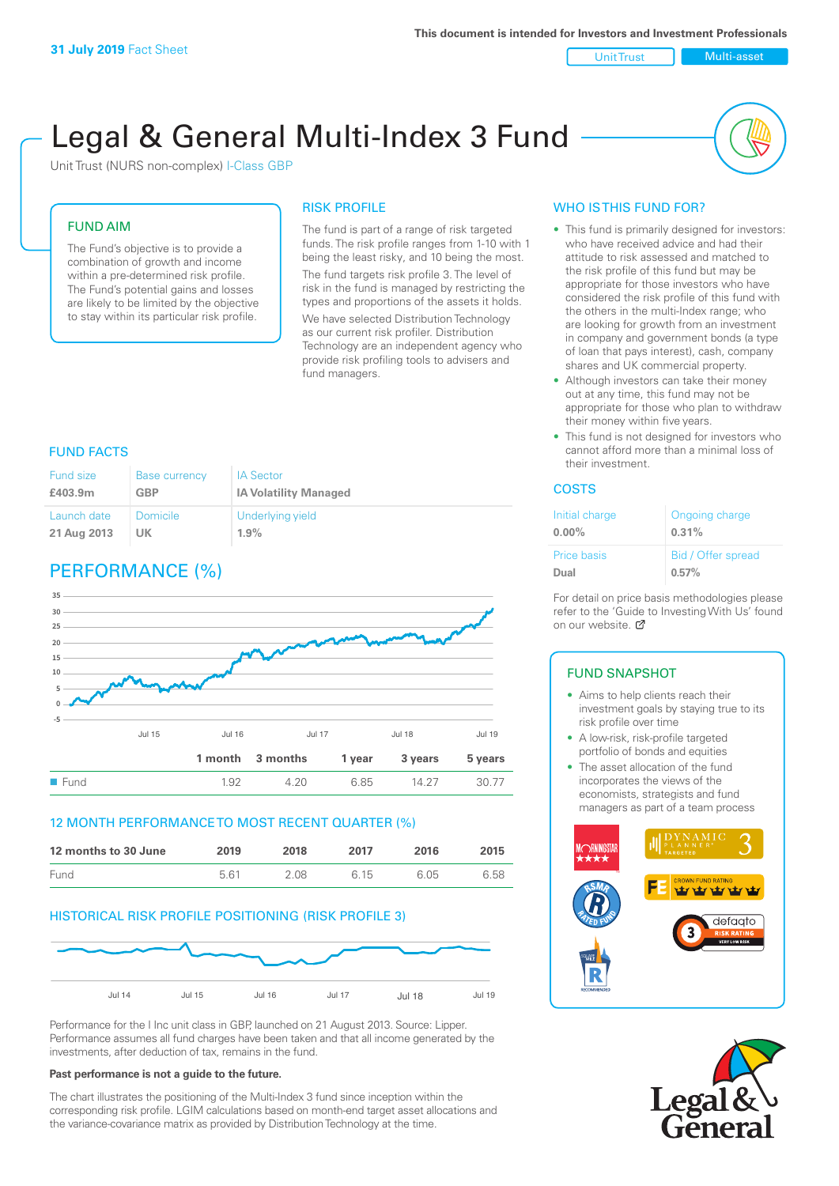Unit Trust Multi-asset

# Legal & General Multi-Index 3 Fund

Unit Trust (NURS non-complex) I-Class GBP

#### FUND AIM

The Fund's objective is to provide a combination of growth and income within a pre-determined risk profile. The Fund's potential gains and losses are likely to be limited by the objective to stay within its particular risk profile.

#### RISK PROFILE

The fund is part of a range of risk targeted funds. The risk profile ranges from 1-10 with 1 being the least risky, and 10 being the most. The fund targets risk profile 3. The level of risk in the fund is managed by restricting the types and proportions of the assets it holds.

We have selected Distribution Technology as our current risk profiler. Distribution Technology are an independent agency who provide risk profiling tools to advisers and fund managers.

## FUND FACTS

| <b>Fund size</b> | <b>Base currency</b> | <b>IA Sector</b>             |
|------------------|----------------------|------------------------------|
| £403.9m          | <b>GBP</b>           | <b>IA Volatility Managed</b> |
| Launch date      | Domicile             | Underlying yield             |
| 21 Aug 2013      | <b>UK</b>            | 1.9%                         |

# PERFORMANCE (%)



#### 12 MONTH PERFORMANCE TO MOST RECENT QUARTER (%)

| 12 months to 30 June | 2019 | 2018 | 2017 | 2016 | 2015 |
|----------------------|------|------|------|------|------|
| Fund                 | 561  | 2.08 | 6 15 | 6.05 | 6.58 |

#### HISTORICAL RISK PROFILE POSITIONING (RISK PROFILE 3)



Performance for the I Inc unit class in GBP, launched on 21 August 2013. Source: Lipper. Performance assumes all fund charges have been taken and that all income generated by the investments, after deduction of tax, remains in the fund.

#### **Past performance is not a guide to the future.**

The chart illustrates the positioning of the Multi-Index 3 fund since inception within the corresponding risk profile. LGIM calculations based on month-end target asset allocations and the variance-covariance matrix as provided by Distribution Technology at the time.

## WHO IS THIS FUND FOR?

- This fund is primarily designed for investors: who have received advice and had their attitude to risk assessed and matched to the risk profile of this fund but may be appropriate for those investors who have considered the risk profile of this fund with the others in the multi-Index range; who are looking for growth from an investment in company and government bonds (a type of loan that pays interest), cash, company shares and UK commercial property.
- Although investors can take their money out at any time, this fund may not be appropriate for those who plan to withdraw their money within five years.
- This fund is not designed for investors who cannot afford more than a minimal loss of their investment.

#### COSTS

| Initial charge | Ongoing charge     |
|----------------|--------------------|
| $0.00\%$       | 0.31%              |
| Price basis    | Bid / Offer spread |
| Dual           | 0.57%              |

For detail on price basis methodologies please refer to the 'Guide to Investing With Us' found on our website. Ø

## FUND SNAPSHOT

- Aims to help clients reach their investment goals by staying true to its risk profile over time
- A low-risk, risk-profile targeted portfolio of bonds and equities
- The asset allocation of the fund incorporates the views of the economists, strategists and fund managers as part of a team process



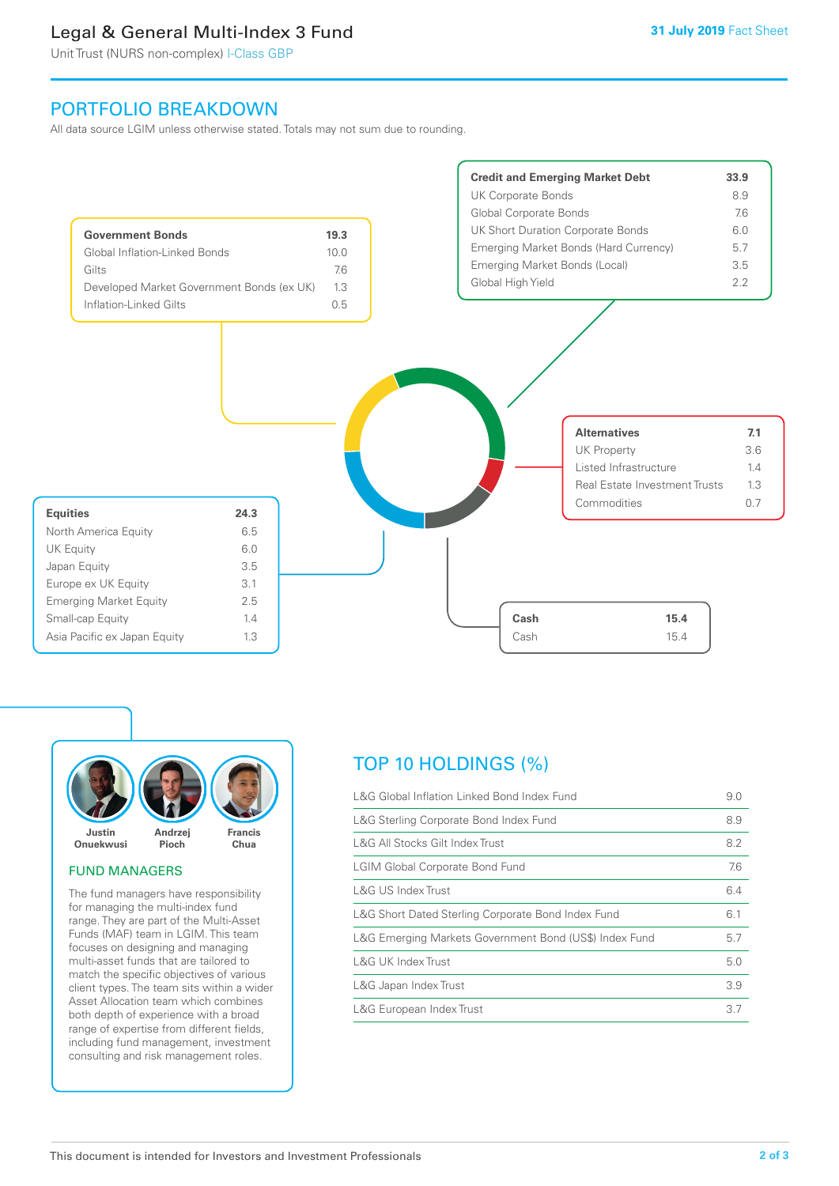# Legal & General Multi-Index 3 Fund

Unit Trust (NURS non-complex) I-Class GBP

# PORTFOLIO BREAKDOWN

All data source LGIM unless otherwise stated. Totals may not sum due to rounding.





#### FUND MANAGERS

The fund managers have responsibility for managing the multi-index fund range. They are part of the Multi-Asset Funds (MAF) team in LGIM. This team focuses on designing and managing multi-asset funds that are tailored to match the specific objectives of various client types. The team sits within a wider Asset Allocation team which combines both depth of experience with a broad range of expertise from different fields, including fund management, investment consulting and risk management roles.

# TOP 10 HOLDINGS (%)

| L&G Global Inflation Linked Bond Index Fund            | 9.0 |
|--------------------------------------------------------|-----|
| L&G Sterling Corporate Bond Index Fund                 | 8.9 |
| L&G All Stocks Gilt Index Trust                        | 8.2 |
| <b>LGIM Global Corporate Bond Fund</b>                 | 7.6 |
| L&G US Index Trust                                     | 6.4 |
| L&G Short Dated Sterling Corporate Bond Index Fund     | 6.1 |
| L&G Emerging Markets Government Bond (US\$) Index Fund | 5.7 |
| L&G UK Index Trust                                     | 5.0 |
| L&G Japan Index Trust                                  | 3.9 |
| L&G European Index Trust                               | 3.7 |